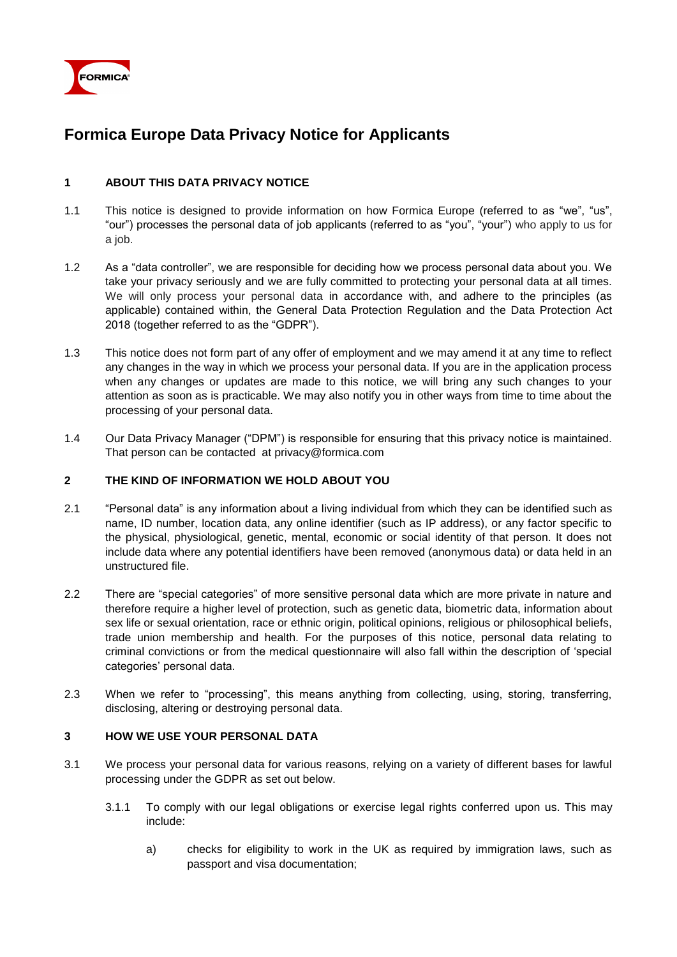

# **Formica Europe Data Privacy Notice for Applicants**

## **1 ABOUT THIS DATA PRIVACY NOTICE**

- 1.1 This notice is designed to provide information on how Formica Europe (referred to as "we", "us", "our") processes the personal data of job applicants (referred to as "you", "your") who apply to us for a job.
- 1.2 As a "data controller", we are responsible for deciding how we process personal data about you. We take your privacy seriously and we are fully committed to protecting your personal data at all times. We will only process your personal data in accordance with, and adhere to the principles (as applicable) contained within, the General Data Protection Regulation and the Data Protection Act 2018 (together referred to as the "GDPR").
- 1.3 This notice does not form part of any offer of employment and we may amend it at any time to reflect any changes in the way in which we process your personal data. If you are in the application process when any changes or updates are made to this notice, we will bring any such changes to your attention as soon as is practicable. We may also notify you in other ways from time to time about the processing of your personal data.
- 1.4 Our Data Privacy Manager ("DPM") is responsible for ensuring that this privacy notice is maintained. That person can be contacted at privacy@formica.com

#### **2 THE KIND OF INFORMATION WE HOLD ABOUT YOU**

- 2.1 "Personal data" is any information about a living individual from which they can be identified such as name, ID number, location data, any online identifier (such as IP address), or any factor specific to the physical, physiological, genetic, mental, economic or social identity of that person. It does not include data where any potential identifiers have been removed (anonymous data) or data held in an unstructured file.
- 2.2 There are "special categories" of more sensitive personal data which are more private in nature and therefore require a higher level of protection, such as genetic data, biometric data, information about sex life or sexual orientation, race or ethnic origin, political opinions, religious or philosophical beliefs, trade union membership and health. For the purposes of this notice, personal data relating to criminal convictions or from the medical questionnaire will also fall within the description of 'special categories' personal data.
- 2.3 When we refer to "processing", this means anything from collecting, using, storing, transferring, disclosing, altering or destroying personal data.

#### **3 HOW WE USE YOUR PERSONAL DATA**

- 3.1 We process your personal data for various reasons, relying on a variety of different bases for lawful processing under the GDPR as set out below.
	- 3.1.1 To comply with our legal obligations or exercise legal rights conferred upon us. This may include:
		- a) checks for eligibility to work in the UK as required by immigration laws, such as passport and visa documentation;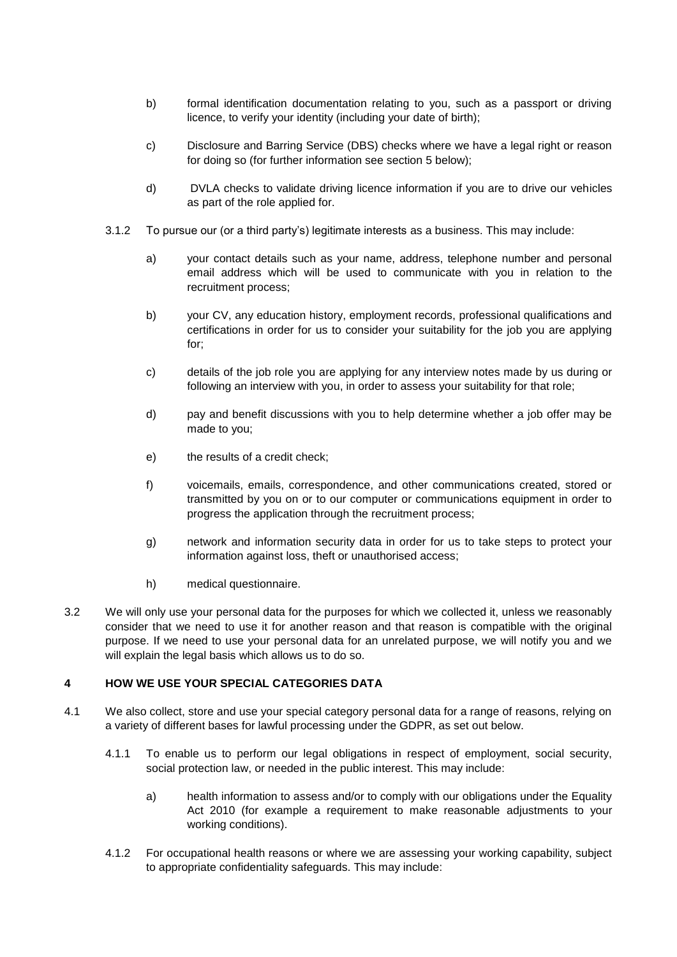- b) formal identification documentation relating to you, such as a passport or driving licence, to verify your identity (including your date of birth);
- c) Disclosure and Barring Service (DBS) checks where we have a legal right or reason for doing so (for further information see section 5 below);
- d) DVLA checks to validate driving licence information if you are to drive our vehicles as part of the role applied for.
- 3.1.2 To pursue our (or a third party's) legitimate interests as a business. This may include:
	- a) your contact details such as your name, address, telephone number and personal email address which will be used to communicate with you in relation to the recruitment process;
	- b) your CV, any education history, employment records, professional qualifications and certifications in order for us to consider your suitability for the job you are applying for;
	- c) details of the job role you are applying for any interview notes made by us during or following an interview with you, in order to assess your suitability for that role;
	- d) pay and benefit discussions with you to help determine whether a job offer may be made to you;
	- e) the results of a credit check;
	- f) voicemails, emails, correspondence, and other communications created, stored or transmitted by you on or to our computer or communications equipment in order to progress the application through the recruitment process;
	- g) network and information security data in order for us to take steps to protect your information against loss, theft or unauthorised access;
	- h) medical questionnaire.
- 3.2 We will only use your personal data for the purposes for which we collected it, unless we reasonably consider that we need to use it for another reason and that reason is compatible with the original purpose. If we need to use your personal data for an unrelated purpose, we will notify you and we will explain the legal basis which allows us to do so.

#### **4 HOW WE USE YOUR SPECIAL CATEGORIES DATA**

- 4.1 We also collect, store and use your special category personal data for a range of reasons, relying on a variety of different bases for lawful processing under the GDPR, as set out below.
	- 4.1.1 To enable us to perform our legal obligations in respect of employment, social security, social protection law, or needed in the public interest. This may include:
		- a) health information to assess and/or to comply with our obligations under the Equality Act 2010 (for example a requirement to make reasonable adjustments to your working conditions).
	- 4.1.2 For occupational health reasons or where we are assessing your working capability, subject to appropriate confidentiality safeguards. This may include: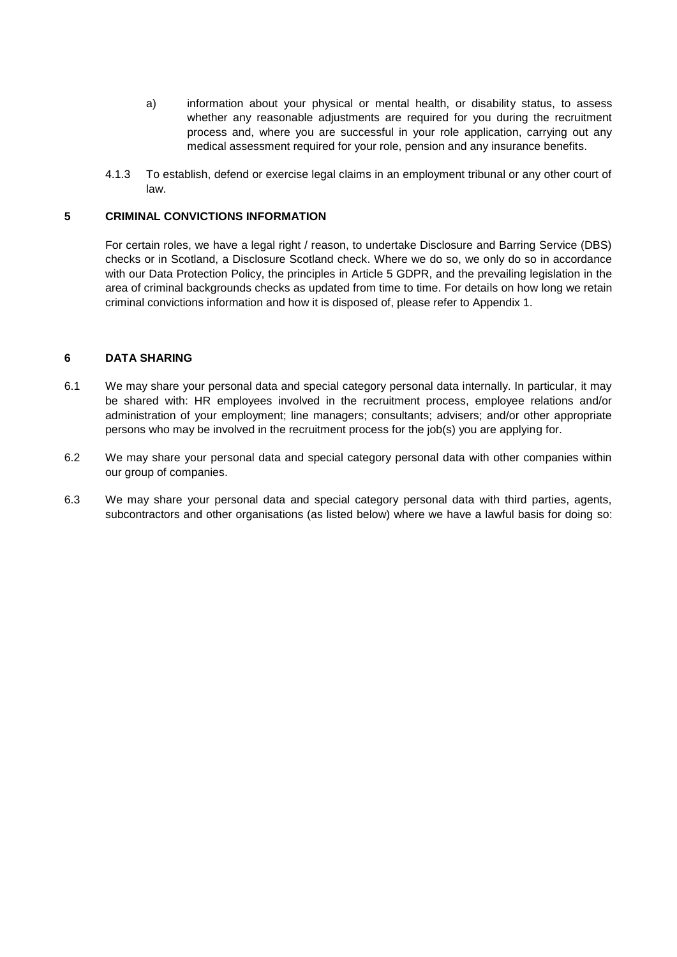- a) information about your physical or mental health, or disability status, to assess whether any reasonable adjustments are required for you during the recruitment process and, where you are successful in your role application, carrying out any medical assessment required for your role, pension and any insurance benefits.
- 4.1.3 To establish, defend or exercise legal claims in an employment tribunal or any other court of law.

#### **5 CRIMINAL CONVICTIONS INFORMATION**

For certain roles, we have a legal right / reason, to undertake Disclosure and Barring Service (DBS) checks or in Scotland, a Disclosure Scotland check. Where we do so, we only do so in accordance with our Data Protection Policy, the principles in Article 5 GDPR, and the prevailing legislation in the area of criminal backgrounds checks as updated from time to time. For details on how long we retain criminal convictions information and how it is disposed of, please refer to Appendix 1.

#### **6 DATA SHARING**

- 6.1 We may share your personal data and special category personal data internally. In particular, it may be shared with: HR employees involved in the recruitment process, employee relations and/or administration of your employment; line managers; consultants; advisers; and/or other appropriate persons who may be involved in the recruitment process for the job(s) you are applying for.
- 6.2 We may share your personal data and special category personal data with other companies within our group of companies.
- 6.3 We may share your personal data and special category personal data with third parties, agents, subcontractors and other organisations (as listed below) where we have a lawful basis for doing so: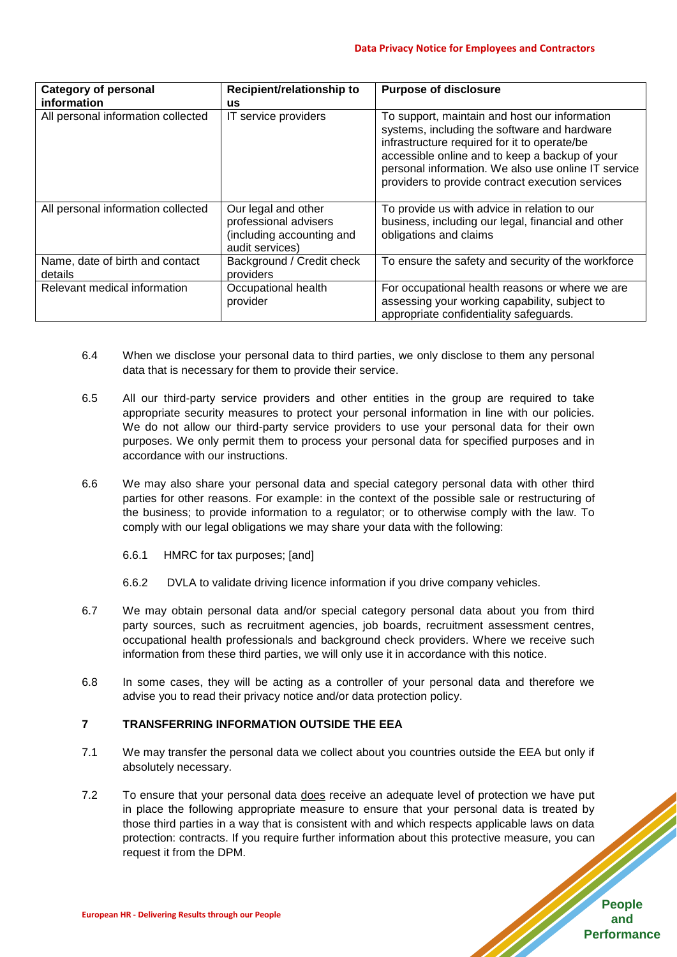| <b>Category of personal</b><br>information | Recipient/relationship to<br>us                                                              | <b>Purpose of disclosure</b>                                                                                                                                                                                                                                                                               |  |
|--------------------------------------------|----------------------------------------------------------------------------------------------|------------------------------------------------------------------------------------------------------------------------------------------------------------------------------------------------------------------------------------------------------------------------------------------------------------|--|
| All personal information collected         | IT service providers                                                                         | To support, maintain and host our information<br>systems, including the software and hardware<br>infrastructure required for it to operate/be<br>accessible online and to keep a backup of your<br>personal information. We also use online IT service<br>providers to provide contract execution services |  |
| All personal information collected         | Our legal and other<br>professional advisers<br>(including accounting and<br>audit services) | To provide us with advice in relation to our<br>business, including our legal, financial and other<br>obligations and claims                                                                                                                                                                               |  |
| Name, date of birth and contact<br>details | Background / Credit check<br>providers                                                       | To ensure the safety and security of the workforce                                                                                                                                                                                                                                                         |  |
| Relevant medical information               | Occupational health<br>provider                                                              | For occupational health reasons or where we are<br>assessing your working capability, subject to<br>appropriate confidentiality safeguards.                                                                                                                                                                |  |

- 6.4 When we disclose your personal data to third parties, we only disclose to them any personal data that is necessary for them to provide their service.
- 6.5 All our third-party service providers and other entities in the group are required to take appropriate security measures to protect your personal information in line with our policies. We do not allow our third-party service providers to use your personal data for their own purposes. We only permit them to process your personal data for specified purposes and in accordance with our instructions.
- 6.6 We may also share your personal data and special category personal data with other third parties for other reasons. For example: in the context of the possible sale or restructuring of the business; to provide information to a regulator; or to otherwise comply with the law. To comply with our legal obligations we may share your data with the following:
	- 6.6.1 HMRC for tax purposes; [and]
	- 6.6.2 DVLA to validate driving licence information if you drive company vehicles.
- 6.7 We may obtain personal data and/or special category personal data about you from third party sources, such as recruitment agencies, job boards, recruitment assessment centres, occupational health professionals and background check providers. Where we receive such information from these third parties, we will only use it in accordance with this notice.
- 6.8 In some cases, they will be acting as a controller of your personal data and therefore we advise you to read their privacy notice and/or data protection policy.

#### **7 TRANSFERRING INFORMATION OUTSIDE THE EEA**

- 7.1 We may transfer the personal data we collect about you countries outside the EEA but only if absolutely necessary.
- 7.2 To ensure that your personal data does receive an adequate level of protection we have put in place the following appropriate measure to ensure that your personal data is treated by those third parties in a way that is consistent with and which respects applicable laws on data protection: contracts. If you require further information about this protective measure, you can request it from the DPM.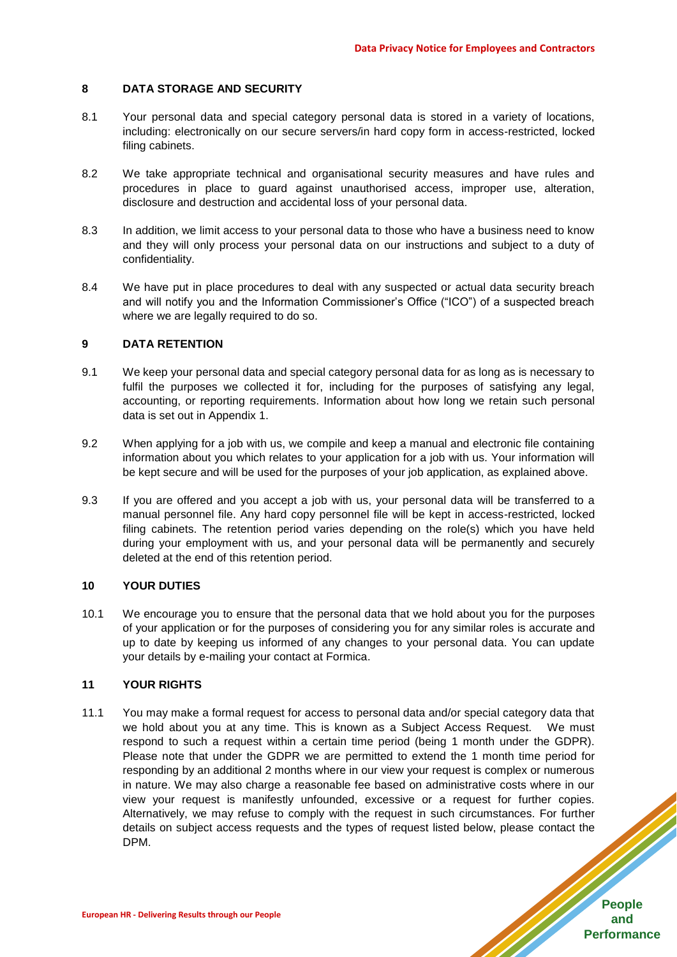#### **8 DATA STORAGE AND SECURITY**

- 8.1 Your personal data and special category personal data is stored in a variety of locations, including: electronically on our secure servers/in hard copy form in access-restricted, locked filing cabinets.
- 8.2 We take appropriate technical and organisational security measures and have rules and procedures in place to guard against unauthorised access, improper use, alteration, disclosure and destruction and accidental loss of your personal data.
- 8.3 In addition, we limit access to your personal data to those who have a business need to know and they will only process your personal data on our instructions and subject to a duty of confidentiality.
- 8.4 We have put in place procedures to deal with any suspected or actual data security breach and will notify you and the Information Commissioner's Office ("ICO") of a suspected breach where we are legally required to do so.

#### **9 DATA RETENTION**

- 9.1 We keep your personal data and special category personal data for as long as is necessary to fulfil the purposes we collected it for, including for the purposes of satisfying any legal, accounting, or reporting requirements. Information about how long we retain such personal data is set out in Appendix 1.
- 9.2 When applying for a job with us, we compile and keep a manual and electronic file containing information about you which relates to your application for a job with us. Your information will be kept secure and will be used for the purposes of your job application, as explained above.
- 9.3 If you are offered and you accept a job with us, your personal data will be transferred to a manual personnel file. Any hard copy personnel file will be kept in access-restricted, locked filing cabinets. The retention period varies depending on the role(s) which you have held during your employment with us, and your personal data will be permanently and securely deleted at the end of this retention period.

#### **10 YOUR DUTIES**

10.1 We encourage you to ensure that the personal data that we hold about you for the purposes of your application or for the purposes of considering you for any similar roles is accurate and up to date by keeping us informed of any changes to your personal data. You can update your details by e-mailing your contact at Formica.

#### **11 YOUR RIGHTS**

11.1 You may make a formal request for access to personal data and/or special category data that we hold about you at any time. This is known as a Subject Access Request. We must respond to such a request within a certain time period (being 1 month under the GDPR). Please note that under the GDPR we are permitted to extend the 1 month time period for responding by an additional 2 months where in our view your request is complex or numerous in nature. We may also charge a reasonable fee based on administrative costs where in our view your request is manifestly unfounded, excessive or a request for further copies. Alternatively, we may refuse to comply with the request in such circumstances. For further details on subject access requests and the types of request listed below, please contact the DPM.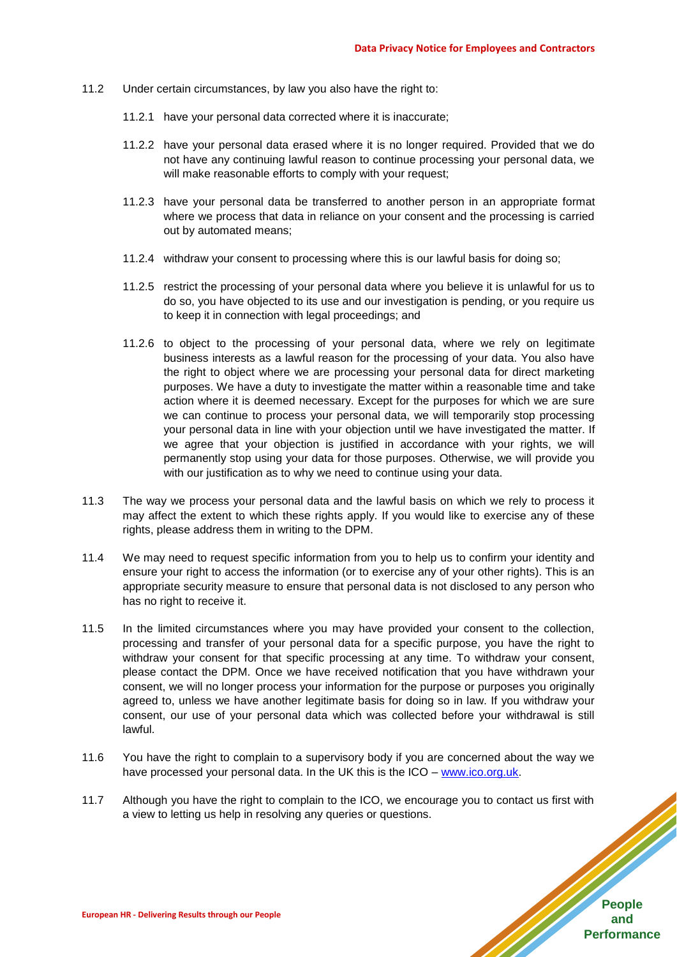- 11.2 Under certain circumstances, by law you also have the right to:
	- 11.2.1 have your personal data corrected where it is inaccurate;
	- 11.2.2 have your personal data erased where it is no longer required. Provided that we do not have any continuing lawful reason to continue processing your personal data, we will make reasonable efforts to comply with your request;
	- 11.2.3 have your personal data be transferred to another person in an appropriate format where we process that data in reliance on your consent and the processing is carried out by automated means;
	- 11.2.4 withdraw your consent to processing where this is our lawful basis for doing so;
	- 11.2.5 restrict the processing of your personal data where you believe it is unlawful for us to do so, you have objected to its use and our investigation is pending, or you require us to keep it in connection with legal proceedings; and
	- 11.2.6 to object to the processing of your personal data, where we rely on legitimate business interests as a lawful reason for the processing of your data. You also have the right to object where we are processing your personal data for direct marketing purposes. We have a duty to investigate the matter within a reasonable time and take action where it is deemed necessary. Except for the purposes for which we are sure we can continue to process your personal data, we will temporarily stop processing your personal data in line with your objection until we have investigated the matter. If we agree that your objection is justified in accordance with your rights, we will permanently stop using your data for those purposes. Otherwise, we will provide you with our justification as to why we need to continue using your data.
- 11.3 The way we process your personal data and the lawful basis on which we rely to process it may affect the extent to which these rights apply. If you would like to exercise any of these rights, please address them in writing to the DPM.
- 11.4 We may need to request specific information from you to help us to confirm your identity and ensure your right to access the information (or to exercise any of your other rights). This is an appropriate security measure to ensure that personal data is not disclosed to any person who has no right to receive it.
- 11.5 In the limited circumstances where you may have provided your consent to the collection, processing and transfer of your personal data for a specific purpose, you have the right to withdraw your consent for that specific processing at any time. To withdraw your consent, please contact the DPM. Once we have received notification that you have withdrawn your consent, we will no longer process your information for the purpose or purposes you originally agreed to, unless we have another legitimate basis for doing so in law. If you withdraw your consent, our use of your personal data which was collected before your withdrawal is still lawful.
- 11.6 You have the right to complain to a supervisory body if you are concerned about the way we have processed your personal data. In the UK this is the ICO – [www.ico.org.uk.](http://www.ico.org.uk/)
- 11.7 Although you have the right to complain to the ICO, we encourage you to contact us first with a view to letting us help in resolving any queries or questions.

**People and Performance**